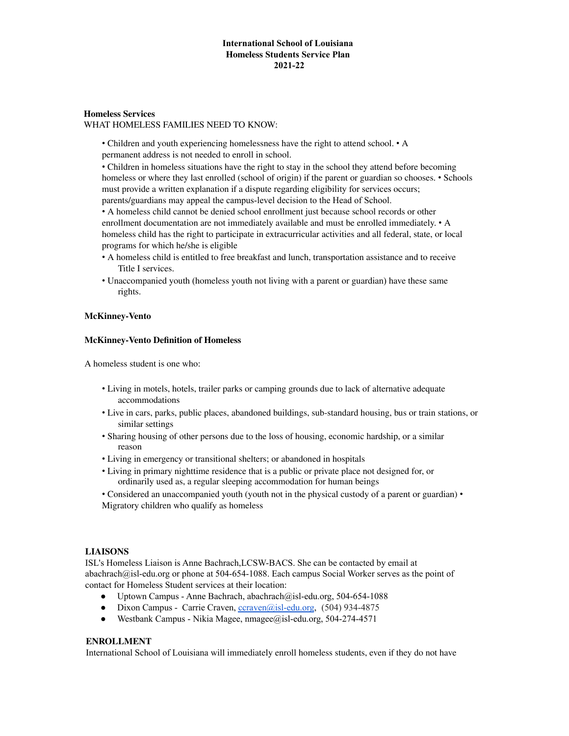## **International School of Louisiana Homeless Students Service Plan 2021-22**

# **Homeless Services**

WHAT HOMELESS FAMILIES NEED TO KNOW:

• Children and youth experiencing homelessness have the right to attend school. • A permanent address is not needed to enroll in school.

• Children in homeless situations have the right to stay in the school they attend before becoming homeless or where they last enrolled (school of origin) if the parent or guardian so chooses. • Schools must provide a written explanation if a dispute regarding eligibility for services occurs; parents/guardians may appeal the campus-level decision to the Head of School.

• A homeless child cannot be denied school enrollment just because school records or other enrollment documentation are not immediately available and must be enrolled immediately. • A homeless child has the right to participate in extracurricular activities and all federal, state, or local programs for which he/she is eligible

- A homeless child is entitled to free breakfast and lunch, transportation assistance and to receive Title I services.
- Unaccompanied youth (homeless youth not living with a parent or guardian) have these same rights.

### **McKinney-Vento**

#### **McKinney-Vento Definition of Homeless**

A homeless student is one who:

- Living in motels, hotels, trailer parks or camping grounds due to lack of alternative adequate accommodations
- Live in cars, parks, public places, abandoned buildings, sub-standard housing, bus or train stations, or similar settings
- Sharing housing of other persons due to the loss of housing, economic hardship, or a similar reason
- Living in emergency or transitional shelters; or abandoned in hospitals
- Living in primary nighttime residence that is a public or private place not designed for, or ordinarily used as, a regular sleeping accommodation for human beings
- Considered an unaccompanied youth (youth not in the physical custody of a parent or guardian) Migratory children who qualify as homeless

## **LIAISONS**

ISL's Homeless Liaison is Anne Bachrach,LCSW-BACS. She can be contacted by email at abachrach@isl-edu.org or phone at 504-654-1088. Each campus Social Worker serves as the point of contact for Homeless Student services at their location:

- Uptown Campus Anne Bachrach, abachrach@isl-edu.org, 504-654-1088
- Dixon Campus Carrie Craven, conven $\omega$ isl-edu.org, (504) 934-4875
- Westbank Campus Nikia Magee, nmagee@isl-edu.org, 504-274-4571

## **ENROLLMENT**

International School of Louisiana will immediately enroll homeless students, even if they do not have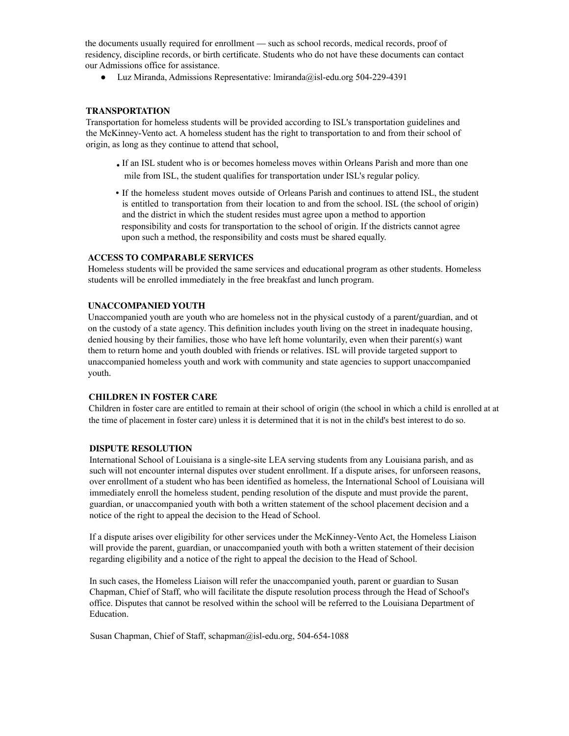the documents usually required for enrollment — such as school records, medical records, proof of residency, discipline records, or birth certificate. Students who do not have these documents can contact our Admissions office for assistance.

● Luz Miranda, Admissions Representative: lmiranda@isl-edu.org 504-229-4391

### **TRANSPORTATION**

Transportation for homeless students will be provided according to ISL's transportation guidelines and the McKinney-Vento act. A homeless student has the right to transportation to and from their school of origin, as long as they continue to attend that school,

- If an ISL student who is or becomes homeless moves within Orleans Parish and more than one mile from ISL, the student qualifies for transportation under ISL's regular policy.
- If the homeless student moves outside of Orleans Parish and continues to attend ISL, the student is entitled to transportation from their location to and from the school. ISL (the school of origin) and the district in which the student resides must agree upon a method to apportion responsibility and costs for transportation to the school of origin. If the districts cannot agree upon such a method, the responsibility and costs must be shared equally.

### **ACCESS TO COMPARABLE SERVICES**

Homeless students will be provided the same services and educational program as other students. Homeless students will be enrolled immediately in the free breakfast and lunch program.

### **UNACCOMPANIED YOUTH**

Unaccompanied youth are youth who are homeless not in the physical custody of a parent/guardian, and ot on the custody of a state agency. This definition includes youth living on the street in inadequate housing, denied housing by their families, those who have left home voluntarily, even when their parent(s) want them to return home and youth doubled with friends or relatives. ISL will provide targeted support to unaccompanied homeless youth and work with community and state agencies to support unaccompanied youth.

## **CHILDREN IN FOSTER CARE**

Children in foster care are entitled to remain at their school of origin (the school in which a child is enrolled at at the time of placement in foster care) unless it is determined that it is not in the child's best interest to do so.

#### **DISPUTE RESOLUTION**

International School of Louisiana is a single-site LEA serving students from any Louisiana parish, and as such will not encounter internal disputes over student enrollment. If a dispute arises, for unforseen reasons, over enrollment of a student who has been identified as homeless, the International School of Louisiana will immediately enroll the homeless student, pending resolution of the dispute and must provide the parent, guardian, or unaccompanied youth with both a written statement of the school placement decision and a notice of the right to appeal the decision to the Head of School.

If a dispute arises over eligibility for other services under the McKinney-Vento Act, the Homeless Liaison will provide the parent, guardian, or unaccompanied youth with both a written statement of their decision regarding eligibility and a notice of the right to appeal the decision to the Head of School.

In such cases, the Homeless Liaison will refer the unaccompanied youth, parent or guardian to Susan Chapman, Chief of Staff, who will facilitate the dispute resolution process through the Head of School's office. Disputes that cannot be resolved within the school will be referred to the Louisiana Department of Education.

Susan Chapman, Chief of Staff, schapman@isl-edu.org, 504-654-1088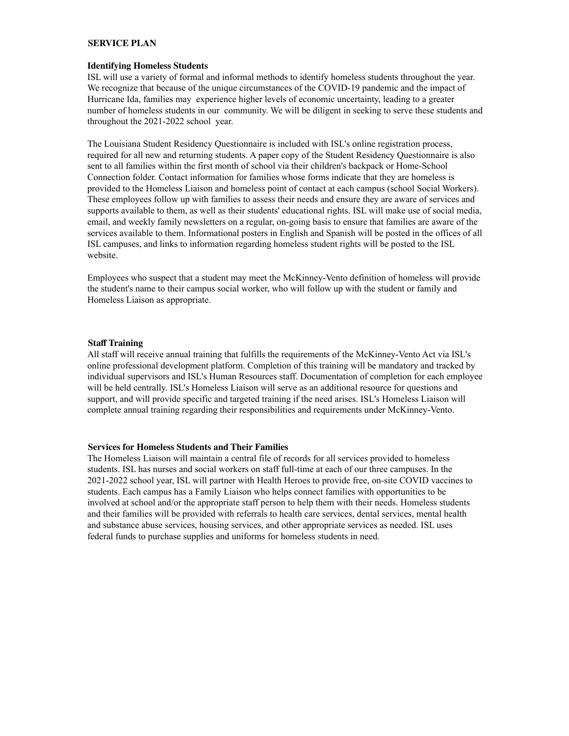### **SERVICE PLAN**

#### **Identifying Homeless Students**

ISL will use a variety of formal and informal methods to identify homeless students throughout the year. We recognize that because of the unique circumstances of the COVID-19 pandemic and the impact of Hurricane Ida, families may experience higher levels of economic uncertainty, leading to a greater number of homeless students in our community. We will be diligent in seeking to serve these students and throughout the 2021-2022 school year.

The Louisiana Student Residency Questionnaire is included with ISL's online registration process, required for all new and returning students. A paper copy of the Student Residency Questionnaire is also sent to all families within the first month of school via their children's backpack or Home-School Connection folder. Contact information for families whose forms indicate that they are homeless is provided to the Homeless Liaison and homeless point of contact at each campus (school Social Workers). These employees follow up with families to assess their needs and ensure they are aware of services and supports available to them, as well as their students' educational rights. ISL will make use of social media, email, and weekly family newsletters on a regular, on-going basis to ensure that families are aware of the services available to them. Informational posters in English and Spanish will be posted in the offices of all ISL campuses, and links to information regarding homeless student rights will be posted to the ISL website.

Employees who suspect that a student may meet the McKinney-Vento definition of homeless will provide the student's name to their campus social worker, who will follow up with the student or family and Homeless Liaison as appropriate.

#### **Staff Training**

All staff will receive annual training that fulfills the requirements of the McKinney-Vento Act via ISL's online professional development platform. Completion of this training will be mandatory and tracked by individual supervisors and ISL's Human Resources staff. Documentation of completion for each employee will be held centrally. ISL's Homeless Liaison will serve as an additional resource for questions and support, and will provide specific and targeted training if the need arises. ISL's Homeless Liaison will complete annual training regarding their responsibilities and requirements under McKinney-Vento.

#### **Services for Homeless Students and Their Families**

The Homeless Liaison will maintain a central file of records for all services provided to homeless students. ISL has nurses and social workers on staff full-time at each of our three campuses. In the 2021-2022 school year, ISL will partner with Health Heroes to provide free, on-site COVID vaccines to students. Each campus has a Family Liaison who helps connect families with opportunities to be involved at school and/or the appropriate staff person to help them with their needs. Homeless students and their families will be provided with referrals to health care services, dental services, mental health and substance abuse services, housing services, and other appropriate services as needed. ISL uses federal funds to purchase supplies and uniforms for homeless students in need.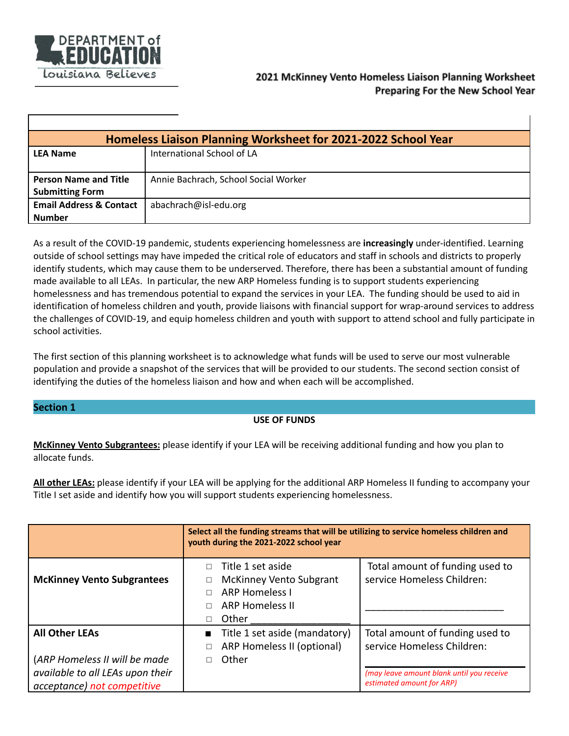

T

| Homeless Liaison Planning Worksheet for 2021-2022 School Year |                                      |  |  |
|---------------------------------------------------------------|--------------------------------------|--|--|
| <b>LEA Name</b>                                               | International School of LA           |  |  |
|                                                               |                                      |  |  |
| <b>Person Name and Title</b>                                  | Annie Bachrach, School Social Worker |  |  |
| <b>Submitting Form</b>                                        |                                      |  |  |
| <b>Email Address &amp; Contact</b>                            | abachrach@isl-edu.org                |  |  |
| Number                                                        |                                      |  |  |

As a result of the COVID-19 pandemic, students experiencing homelessness are **increasingly** under-identified. Learning outside of school settings may have impeded the critical role of educators and staff in schools and districts to properly identify students, which may cause them to be underserved. Therefore, there has been a substantial amount of funding made available to all LEAs. In particular, the new ARP Homeless funding is to support students experiencing homelessness and has tremendous potential to expand the services in your LEA. The funding should be used to aid in identification of homeless children and youth, provide liaisons with financial support for wrap-around services to address the challenges of COVID-19, and equip homeless children and youth with support to attend school and fully participate in school activities.

The first section of this planning worksheet is to acknowledge what funds will be used to serve our most vulnerable population and provide a snapshot of the services that will be provided to our students. The second section consist of identifying the duties of the homeless liaison and how and when each will be accomplished.

## **Section 1**

## **USE OF FUNDS**

**McKinney Vento Subgrantees:** please identify if your LEA will be receiving additional funding and how you plan to allocate funds.

**All other LEAs:** please identify if your LEA will be applying for the additional ARP Homeless II funding to accompany your Title I set aside and identify how you will support students experiencing homelessness.

|                                                                                                                           | Select all the funding streams that will be utilizing to service homeless children and<br>youth during the 2021-2022 school year |                                                                                                                                         |  |  |
|---------------------------------------------------------------------------------------------------------------------------|----------------------------------------------------------------------------------------------------------------------------------|-----------------------------------------------------------------------------------------------------------------------------------------|--|--|
| <b>McKinney Vento Subgrantees</b>                                                                                         | Title 1 set aside<br><b>McKinney Vento Subgrant</b><br><b>ARP Homeless I</b><br><b>ARP Homeless II</b><br>Other<br>П             | Total amount of funding used to<br>service Homeless Children:                                                                           |  |  |
| <b>All Other LEAs</b><br>(ARP Homeless II will be made<br>available to all LEAs upon their<br>acceptance) not competitive | Title 1 set aside (mandatory)<br>$\blacksquare$<br>ARP Homeless II (optional)<br>Other                                           | Total amount of funding used to<br>service Homeless Children:<br>(may leave amount blank until you receive<br>estimated amount for ARP) |  |  |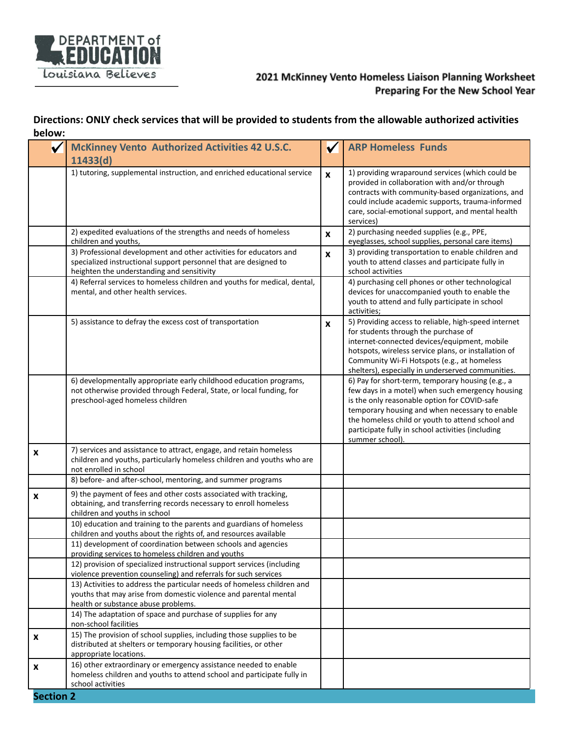

# 2021 McKinney Vento Homeless Liaison Planning Worksheet Preparing For the New School Year

# **Directions: ONLY check services that will be provided to students from the allowable authorized activities below:**

|                  | <b>McKinney Vento Authorized Activities 42 U.S.C.</b>                                                                                                                                | $\checkmark$     | <b>ARP Homeless Funds</b>                                                                                                                                                                                                                                                                                                           |  |  |
|------------------|--------------------------------------------------------------------------------------------------------------------------------------------------------------------------------------|------------------|-------------------------------------------------------------------------------------------------------------------------------------------------------------------------------------------------------------------------------------------------------------------------------------------------------------------------------------|--|--|
|                  | 11433(d)                                                                                                                                                                             |                  |                                                                                                                                                                                                                                                                                                                                     |  |  |
|                  | 1) tutoring, supplemental instruction, and enriched educational service                                                                                                              | $\mathbf{x}$     | 1) providing wraparound services (which could be<br>provided in collaboration with and/or through<br>contracts with community-based organizations, and<br>could include academic supports, trauma-informed<br>care, social-emotional support, and mental health<br>services)                                                        |  |  |
|                  | 2) expedited evaluations of the strengths and needs of homeless<br>children and youths,                                                                                              | $\boldsymbol{x}$ | 2) purchasing needed supplies (e.g., PPE,<br>eyeglasses, school supplies, personal care items)                                                                                                                                                                                                                                      |  |  |
|                  | 3) Professional development and other activities for educators and<br>specialized instructional support personnel that are designed to<br>heighten the understanding and sensitivity | $\boldsymbol{x}$ | 3) providing transportation to enable children and<br>youth to attend classes and participate fully in<br>school activities                                                                                                                                                                                                         |  |  |
|                  | 4) Referral services to homeless children and youths for medical, dental,<br>mental, and other health services.                                                                      |                  | 4) purchasing cell phones or other technological<br>devices for unaccompanied youth to enable the<br>youth to attend and fully participate in school<br>activities;                                                                                                                                                                 |  |  |
|                  | 5) assistance to defray the excess cost of transportation                                                                                                                            | $\boldsymbol{x}$ | 5) Providing access to reliable, high-speed internet<br>for students through the purchase of<br>internet-connected devices/equipment, mobile<br>hotspots, wireless service plans, or installation of<br>Community Wi-Fi Hotspots (e.g., at homeless<br>shelters), especially in underserved communities.                            |  |  |
|                  | 6) developmentally appropriate early childhood education programs,<br>not otherwise provided through Federal, State, or local funding, for<br>preschool-aged homeless children       |                  | 6) Pay for short-term, temporary housing (e.g., a<br>few days in a motel) when such emergency housing<br>is the only reasonable option for COVID-safe<br>temporary housing and when necessary to enable<br>the homeless child or youth to attend school and<br>participate fully in school activities (including<br>summer school). |  |  |
| X                | 7) services and assistance to attract, engage, and retain homeless<br>children and youths, particularly homeless children and youths who are<br>not enrolled in school               |                  |                                                                                                                                                                                                                                                                                                                                     |  |  |
|                  | 8) before- and after-school, mentoring, and summer programs                                                                                                                          |                  |                                                                                                                                                                                                                                                                                                                                     |  |  |
| X                | 9) the payment of fees and other costs associated with tracking,<br>obtaining, and transferring records necessary to enroll homeless<br>children and youths in school                |                  |                                                                                                                                                                                                                                                                                                                                     |  |  |
|                  | 10) education and training to the parents and guardians of homeless<br>children and youths about the rights of, and resources available                                              |                  |                                                                                                                                                                                                                                                                                                                                     |  |  |
|                  | 11) development of coordination between schools and agencies<br>providing services to homeless children and youths                                                                   |                  |                                                                                                                                                                                                                                                                                                                                     |  |  |
|                  | 12) provision of specialized instructional support services (including<br>violence prevention counseling) and referrals for such services                                            |                  |                                                                                                                                                                                                                                                                                                                                     |  |  |
|                  | 13) Activities to address the particular needs of homeless children and<br>youths that may arise from domestic violence and parental mental<br>health or substance abuse problems.   |                  |                                                                                                                                                                                                                                                                                                                                     |  |  |
|                  | 14) The adaptation of space and purchase of supplies for any<br>non-school facilities                                                                                                |                  |                                                                                                                                                                                                                                                                                                                                     |  |  |
| X                | 15) The provision of school supplies, including those supplies to be<br>distributed at shelters or temporary housing facilities, or other<br>appropriate locations.                  |                  |                                                                                                                                                                                                                                                                                                                                     |  |  |
| X                | 16) other extraordinary or emergency assistance needed to enable<br>homeless children and youths to attend school and participate fully in<br>school activities                      |                  |                                                                                                                                                                                                                                                                                                                                     |  |  |
| <b>Section 2</b> |                                                                                                                                                                                      |                  |                                                                                                                                                                                                                                                                                                                                     |  |  |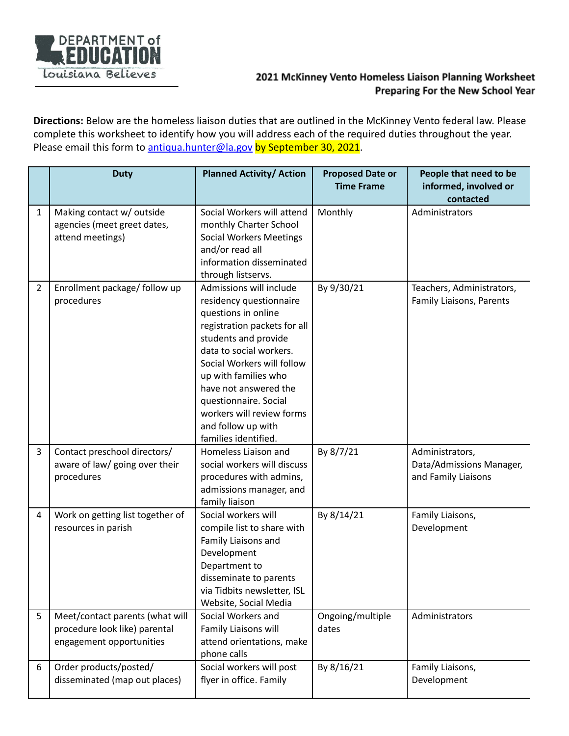

# 2021 McKinney Vento Homeless Liaison Planning Worksheet Preparing For the New School Year

**Directions:** Below are the homeless liaison duties that are outlined in the McKinney Vento federal law. Please complete this worksheet to identify how you will address each of the required duties throughout the year. Please email this form to [antiqua.hunter@la.gov](mailto:antiqua.hunter@la.gov) by September 30, 2021.

|                | <b>Duty</b>                                                                                  | <b>Planned Activity/ Action</b>                                                                                                                                                                                                                                                                                                                 | <b>Proposed Date or</b>   | People that need to be                                             |
|----------------|----------------------------------------------------------------------------------------------|-------------------------------------------------------------------------------------------------------------------------------------------------------------------------------------------------------------------------------------------------------------------------------------------------------------------------------------------------|---------------------------|--------------------------------------------------------------------|
|                |                                                                                              |                                                                                                                                                                                                                                                                                                                                                 | <b>Time Frame</b>         | informed, involved or                                              |
|                |                                                                                              |                                                                                                                                                                                                                                                                                                                                                 |                           | contacted                                                          |
| $\mathbf{1}$   | Making contact w/ outside<br>agencies (meet greet dates,<br>attend meetings)                 | Social Workers will attend<br>monthly Charter School<br><b>Social Workers Meetings</b><br>and/or read all<br>information disseminated<br>through listservs.                                                                                                                                                                                     | Monthly                   | Administrators                                                     |
| $\overline{2}$ | Enrollment package/ follow up<br>procedures                                                  | Admissions will include<br>residency questionnaire<br>questions in online<br>registration packets for all<br>students and provide<br>data to social workers.<br>Social Workers will follow<br>up with families who<br>have not answered the<br>questionnaire. Social<br>workers will review forms<br>and follow up with<br>families identified. | By 9/30/21                | Teachers, Administrators,<br>Family Liaisons, Parents              |
| $\overline{3}$ | Contact preschool directors/<br>aware of law/ going over their<br>procedures                 | Homeless Liaison and<br>social workers will discuss<br>procedures with admins,<br>admissions manager, and<br>family liaison                                                                                                                                                                                                                     | By 8/7/21                 | Administrators,<br>Data/Admissions Manager,<br>and Family Liaisons |
| 4              | Work on getting list together of<br>resources in parish                                      | Social workers will<br>compile list to share with<br>Family Liaisons and<br>Development<br>Department to<br>disseminate to parents<br>via Tidbits newsletter, ISL<br>Website, Social Media                                                                                                                                                      | By 8/14/21                | Family Liaisons,<br>Development                                    |
| 5              | Meet/contact parents (what will<br>procedure look like) parental<br>engagement opportunities | Social Workers and<br>Family Liaisons will<br>attend orientations, make<br>phone calls                                                                                                                                                                                                                                                          | Ongoing/multiple<br>dates | Administrators                                                     |
| 6              | Order products/posted/<br>disseminated (map out places)                                      | Social workers will post<br>flyer in office. Family                                                                                                                                                                                                                                                                                             | By 8/16/21                | Family Liaisons,<br>Development                                    |